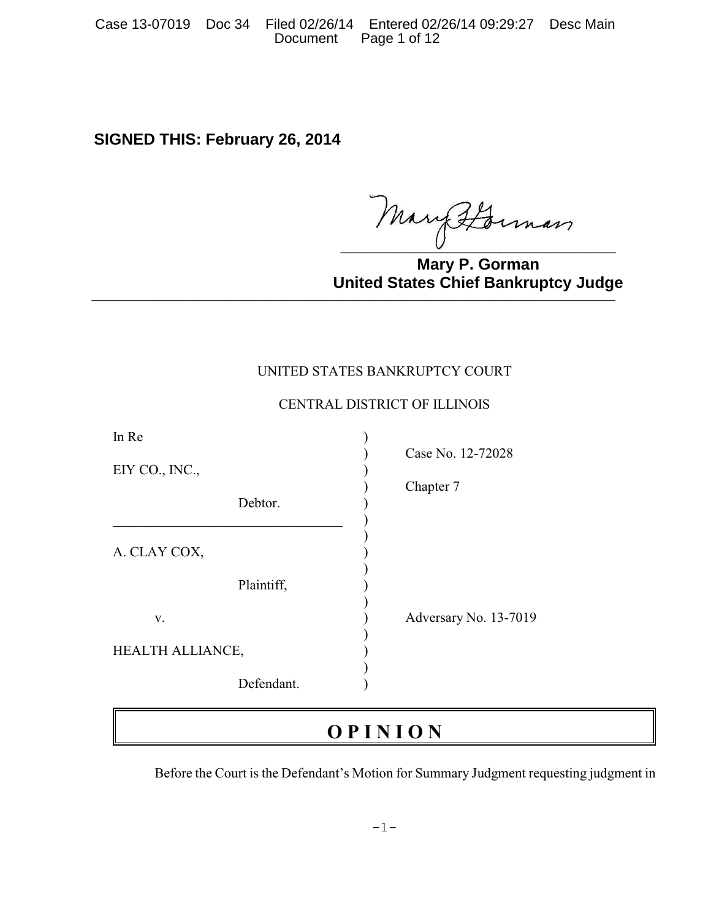Case 13-07019 Doc 34 Filed 02/26/14 Entered 02/26/14 09:29:27 Desc Main Page 1 of 12

# **SIGNED THIS: February 26, 2014**

Mary Horman

**Mary P. Gorman United States Chief Bankruptcy Judge binted blates only bank apply badged** 

## UNITED STATES BANKRUPTCY COURT

# CENTRAL DISTRICT OF ILLINOIS

| In Re            |            |                       |
|------------------|------------|-----------------------|
|                  |            | Case No. 12-72028     |
| EIY CO., INC.,   |            |                       |
|                  |            | Chapter 7             |
|                  | Debtor.    |                       |
|                  |            |                       |
|                  |            |                       |
| A. CLAY COX,     |            |                       |
|                  |            |                       |
|                  | Plaintiff, |                       |
|                  |            |                       |
| V.               |            | Adversary No. 13-7019 |
|                  |            |                       |
| HEALTH ALLIANCE, |            |                       |
|                  |            |                       |
|                  | Defendant. |                       |

# **O P I N I O N**

Before the Court is the Defendant's Motion for Summary Judgment requesting judgment in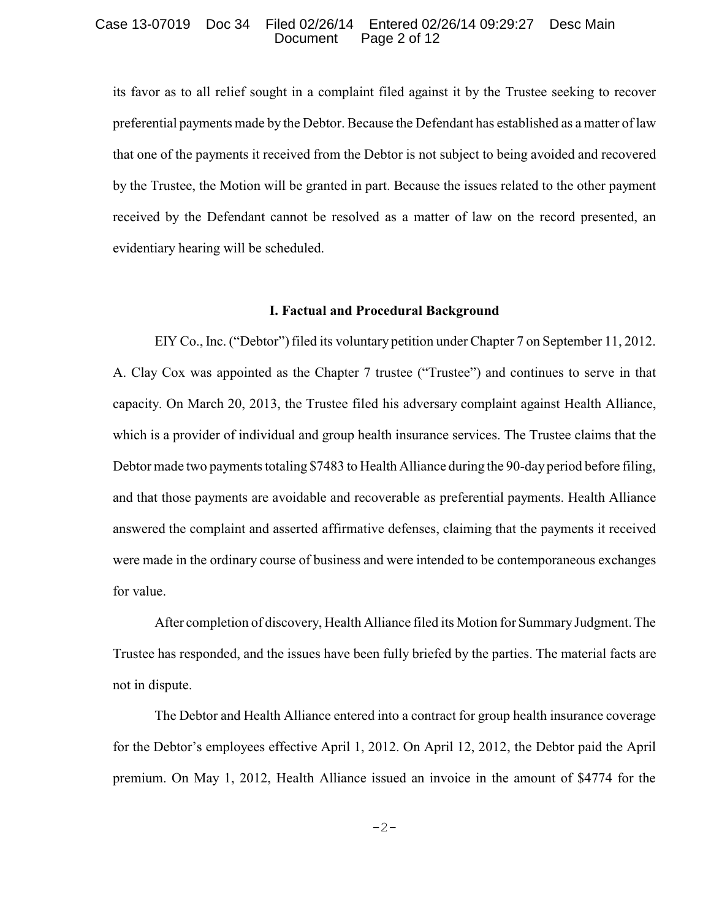#### Case 13-07019 Doc 34 Filed 02/26/14 Entered 02/26/14 09:29:27 Desc Main Page 2 of 12

its favor as to all relief sought in a complaint filed against it by the Trustee seeking to recover preferential payments made by the Debtor. Because the Defendant has established as a matter of law that one of the payments it received from the Debtor is not subject to being avoided and recovered by the Trustee, the Motion will be granted in part. Because the issues related to the other payment received by the Defendant cannot be resolved as a matter of law on the record presented, an evidentiary hearing will be scheduled.

#### **I. Factual and Procedural Background**

EIY Co., Inc. ("Debtor") filed its voluntary petition under Chapter 7 on September 11, 2012. A. Clay Cox was appointed as the Chapter 7 trustee ("Trustee") and continues to serve in that capacity. On March 20, 2013, the Trustee filed his adversary complaint against Health Alliance, which is a provider of individual and group health insurance services. The Trustee claims that the Debtor made two payments totaling \$7483 to Health Alliance during the 90-day period before filing, and that those payments are avoidable and recoverable as preferential payments. Health Alliance answered the complaint and asserted affirmative defenses, claiming that the payments it received were made in the ordinary course of business and were intended to be contemporaneous exchanges for value.

After completion of discovery, Health Alliance filed its Motion for Summary Judgment. The Trustee has responded, and the issues have been fully briefed by the parties. The material facts are not in dispute.

The Debtor and Health Alliance entered into a contract for group health insurance coverage for the Debtor's employees effective April 1, 2012. On April 12, 2012, the Debtor paid the April premium. On May 1, 2012, Health Alliance issued an invoice in the amount of \$4774 for the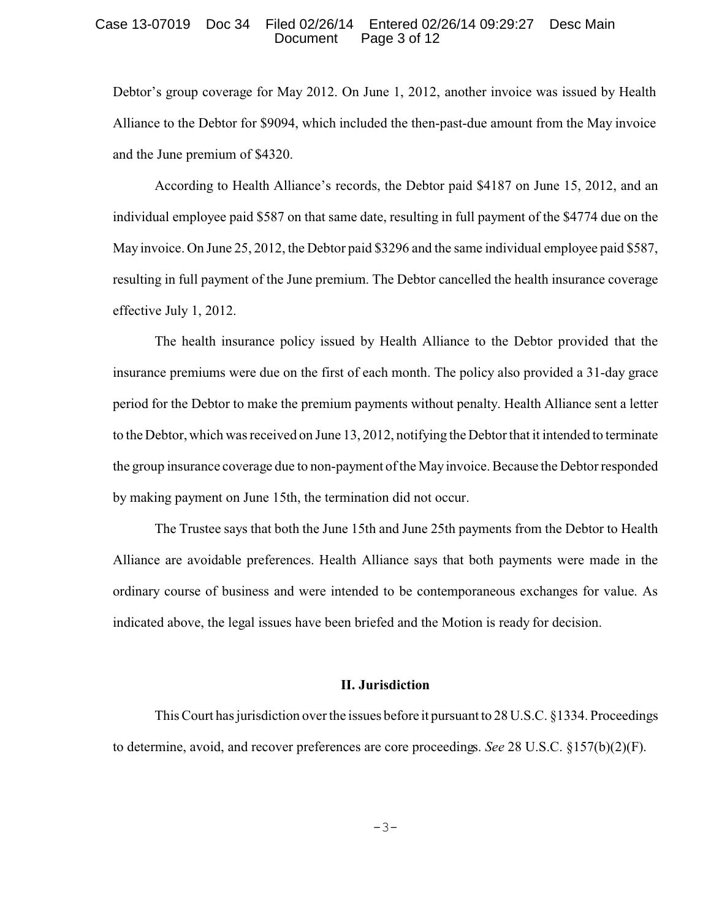#### Case 13-07019 Doc 34 Filed 02/26/14 Entered 02/26/14 09:29:27 Desc Main Page 3 of 12

Debtor's group coverage for May 2012. On June 1, 2012, another invoice was issued by Health Alliance to the Debtor for \$9094, which included the then-past-due amount from the May invoice and the June premium of \$4320.

According to Health Alliance's records, the Debtor paid \$4187 on June 15, 2012, and an individual employee paid \$587 on that same date, resulting in full payment of the \$4774 due on the May invoice. On June 25, 2012, the Debtor paid \$3296 and the same individual employee paid \$587, resulting in full payment of the June premium. The Debtor cancelled the health insurance coverage effective July 1, 2012.

The health insurance policy issued by Health Alliance to the Debtor provided that the insurance premiums were due on the first of each month. The policy also provided a 31-day grace period for the Debtor to make the premium payments without penalty. Health Alliance sent a letter to the Debtor, which was received on June 13, 2012, notifying the Debtor that it intended to terminate the group insurance coverage due to non-payment of the Mayinvoice. Because the Debtor responded by making payment on June 15th, the termination did not occur.

The Trustee says that both the June 15th and June 25th payments from the Debtor to Health Alliance are avoidable preferences. Health Alliance says that both payments were made in the ordinary course of business and were intended to be contemporaneous exchanges for value. As indicated above, the legal issues have been briefed and the Motion is ready for decision.

#### **II. Jurisdiction**

This Court has jurisdiction over the issues before it pursuant to 28 U.S.C. §1334. Proceedings to determine, avoid, and recover preferences are core proceedings. *See* 28 U.S.C. §157(b)(2)(F).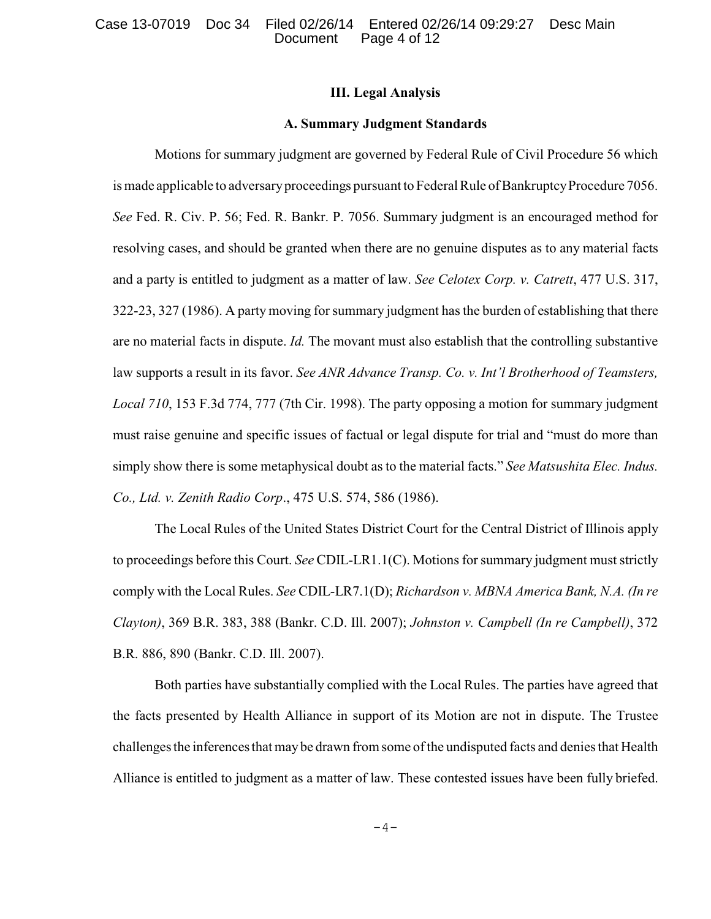### **III. Legal Analysis**

#### **A. Summary Judgment Standards**

Motions for summary judgment are governed by Federal Rule of Civil Procedure 56 which is made applicable to adversary proceedings pursuant to Federal Rule of Bankruptcy Procedure 7056. *See* Fed. R. Civ. P. 56; Fed. R. Bankr. P. 7056. Summary judgment is an encouraged method for resolving cases, and should be granted when there are no genuine disputes as to any material facts and a party is entitled to judgment as a matter of law. *See Celotex Corp. v. Catrett*, 477 U.S. 317, 322-23, 327 (1986). A partymoving for summary judgment has the burden of establishing that there are no material facts in dispute. *Id.* The movant must also establish that the controlling substantive law supports a result in its favor. *See ANR Advance Transp. Co. v. Int'l Brotherhood of Teamsters, Local 710*, 153 F.3d 774, 777 (7th Cir. 1998). The party opposing a motion for summary judgment must raise genuine and specific issues of factual or legal dispute for trial and "must do more than simply show there is some metaphysical doubt as to the material facts." *See Matsushita Elec. Indus. Co., Ltd. v. Zenith Radio Corp*., 475 U.S. 574, 586 (1986).

The Local Rules of the United States District Court for the Central District of Illinois apply to proceedings before this Court. *See* CDIL-LR1.1(C). Motions for summary judgment must strictly comply with the Local Rules. *See* CDIL-LR7.1(D); *Richardson v. MBNA America Bank, N.A. (In re Clayton)*, 369 B.R. 383, 388 (Bankr. C.D. Ill. 2007); *Johnston v. Campbell (In re Campbell)*, 372 B.R. 886, 890 (Bankr. C.D. Ill. 2007).

Both parties have substantially complied with the Local Rules. The parties have agreed that the facts presented by Health Alliance in support of its Motion are not in dispute. The Trustee challenges the inferences that maybe drawn from some of the undisputed facts and denies that Health Alliance is entitled to judgment as a matter of law. These contested issues have been fully briefed.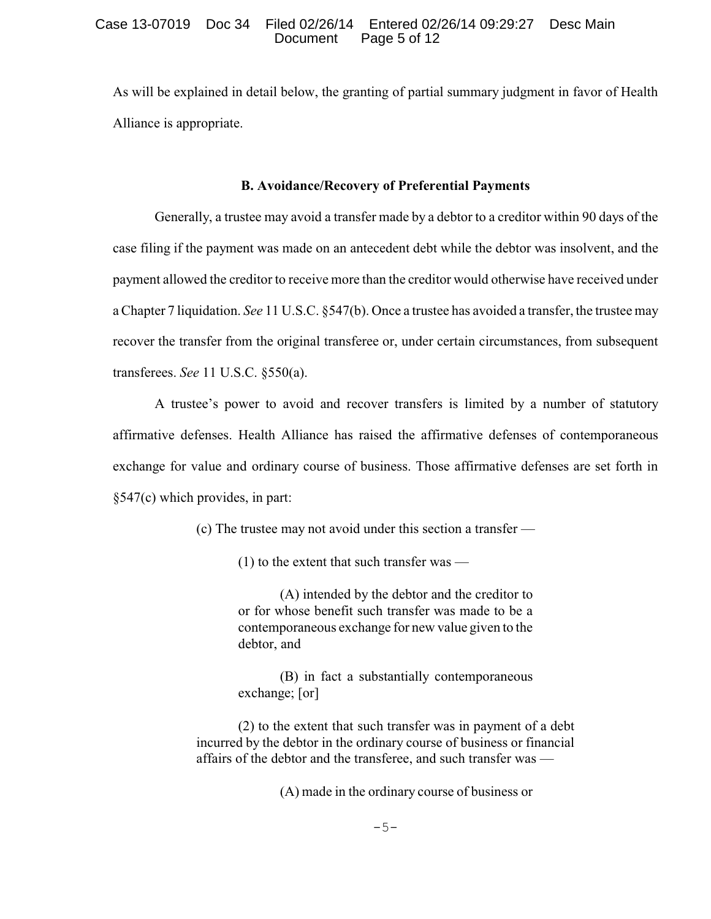As will be explained in detail below, the granting of partial summary judgment in favor of Health Alliance is appropriate.

## **B. Avoidance/Recovery of Preferential Payments**

Generally, a trustee may avoid a transfer made by a debtor to a creditor within 90 days of the case filing if the payment was made on an antecedent debt while the debtor was insolvent, and the payment allowed the creditor to receive more than the creditor would otherwise have received under a Chapter 7 liquidation. *See* 11 U.S.C. §547(b). Once a trustee has avoided a transfer, the trustee may recover the transfer from the original transferee or, under certain circumstances, from subsequent transferees. *See* 11 U.S.C. §550(a).

A trustee's power to avoid and recover transfers is limited by a number of statutory affirmative defenses. Health Alliance has raised the affirmative defenses of contemporaneous exchange for value and ordinary course of business. Those affirmative defenses are set forth in §547(c) which provides, in part:

(c) The trustee may not avoid under this section a transfer —

(1) to the extent that such transfer was —

(A) intended by the debtor and the creditor to or for whose benefit such transfer was made to be a contemporaneous exchange for new value given to the debtor, and

(B) in fact a substantially contemporaneous exchange; [or]

(2) to the extent that such transfer was in payment of a debt incurred by the debtor in the ordinary course of business or financial affairs of the debtor and the transferee, and such transfer was —

(A) made in the ordinary course of business or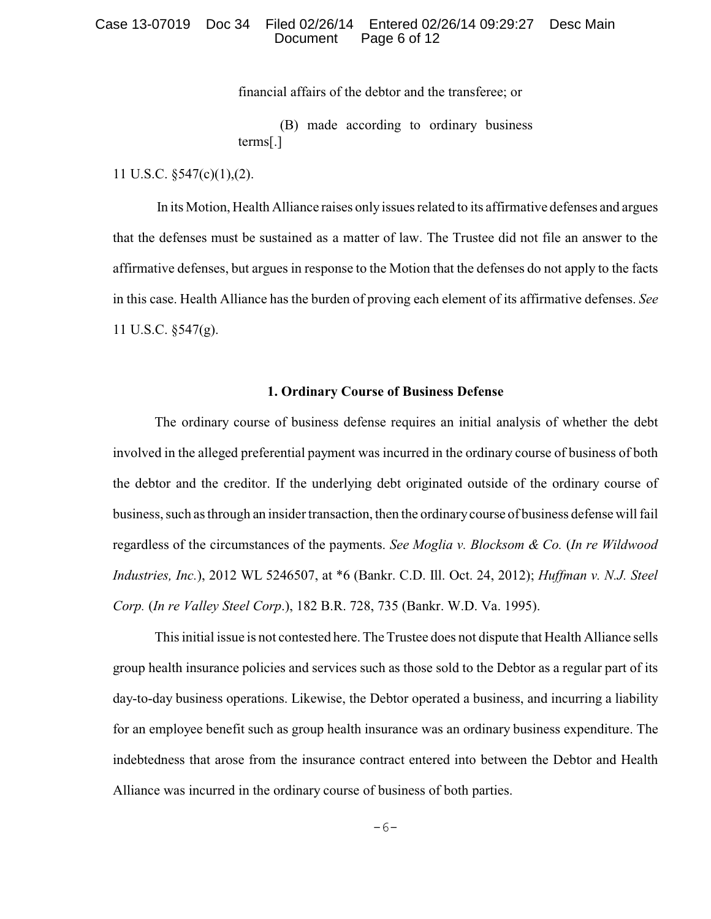#### Case 13-07019 Doc 34 Filed 02/26/14 Entered 02/26/14 09:29:27 Desc Main Page 6 of 12

financial affairs of the debtor and the transferee; or

(B) made according to ordinary business terms[.]

11 U.S.C. §547(c)(1),(2).

In its Motion, Health Alliance raises only issues related to its affirmative defenses and argues that the defenses must be sustained as a matter of law. The Trustee did not file an answer to the affirmative defenses, but argues in response to the Motion that the defenses do not apply to the facts in this case. Health Alliance has the burden of proving each element of its affirmative defenses. *See* 11 U.S.C. §547(g).

#### **1. Ordinary Course of Business Defense**

The ordinary course of business defense requires an initial analysis of whether the debt involved in the alleged preferential payment was incurred in the ordinary course of business of both the debtor and the creditor. If the underlying debt originated outside of the ordinary course of business, such as through an insider transaction, then the ordinarycourse of business defense will fail regardless of the circumstances of the payments. *See Moglia v. Blocksom & Co.* (*In re Wildwood Industries, Inc.*), 2012 WL 5246507, at \*6 (Bankr. C.D. Ill. Oct. 24, 2012); *Huffman v. N.J. Steel Corp.* (*In re Valley Steel Corp*.), 182 B.R. 728, 735 (Bankr. W.D. Va. 1995).

This initial issue is not contested here. The Trustee does not dispute that Health Alliance sells group health insurance policies and services such as those sold to the Debtor as a regular part of its day-to-day business operations. Likewise, the Debtor operated a business, and incurring a liability for an employee benefit such as group health insurance was an ordinary business expenditure. The indebtedness that arose from the insurance contract entered into between the Debtor and Health Alliance was incurred in the ordinary course of business of both parties.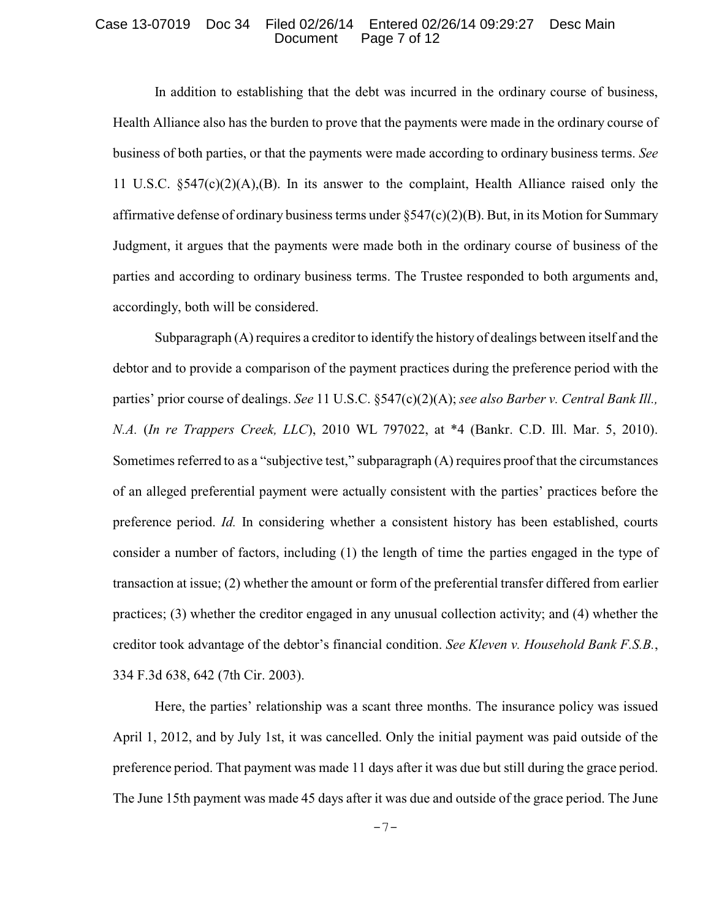#### Case 13-07019 Doc 34 Filed 02/26/14 Entered 02/26/14 09:29:27 Desc Main Page 7 of 12

In addition to establishing that the debt was incurred in the ordinary course of business, Health Alliance also has the burden to prove that the payments were made in the ordinary course of business of both parties, or that the payments were made according to ordinary business terms. *See* 11 U.S.C. §547(c)(2)(A),(B). In its answer to the complaint, Health Alliance raised only the affirmative defense of ordinary business terms under §547(c)(2)(B). But, in its Motion for Summary Judgment, it argues that the payments were made both in the ordinary course of business of the parties and according to ordinary business terms. The Trustee responded to both arguments and, accordingly, both will be considered.

Subparagraph (A) requires a creditor to identify the history of dealings between itself and the debtor and to provide a comparison of the payment practices during the preference period with the parties' prior course of dealings. *See* 11 U.S.C. §547(c)(2)(A); *see also Barber v. Central Bank Ill., N.A.* (*In re Trappers Creek, LLC*), 2010 WL 797022, at \*4 (Bankr. C.D. Ill. Mar. 5, 2010). Sometimes referred to as a "subjective test," subparagraph (A) requires proof that the circumstances of an alleged preferential payment were actually consistent with the parties' practices before the preference period. *Id.* In considering whether a consistent history has been established, courts consider a number of factors, including (1) the length of time the parties engaged in the type of transaction at issue; (2) whether the amount or form of the preferential transfer differed from earlier practices; (3) whether the creditor engaged in any unusual collection activity; and (4) whether the creditor took advantage of the debtor's financial condition. *See Kleven v. Household Bank F.S.B.*, 334 F.3d 638, 642 (7th Cir. 2003).

Here, the parties' relationship was a scant three months. The insurance policy was issued April 1, 2012, and by July 1st, it was cancelled. Only the initial payment was paid outside of the preference period. That payment was made 11 days after it was due but still during the grace period. The June 15th payment was made 45 days after it was due and outside of the grace period. The June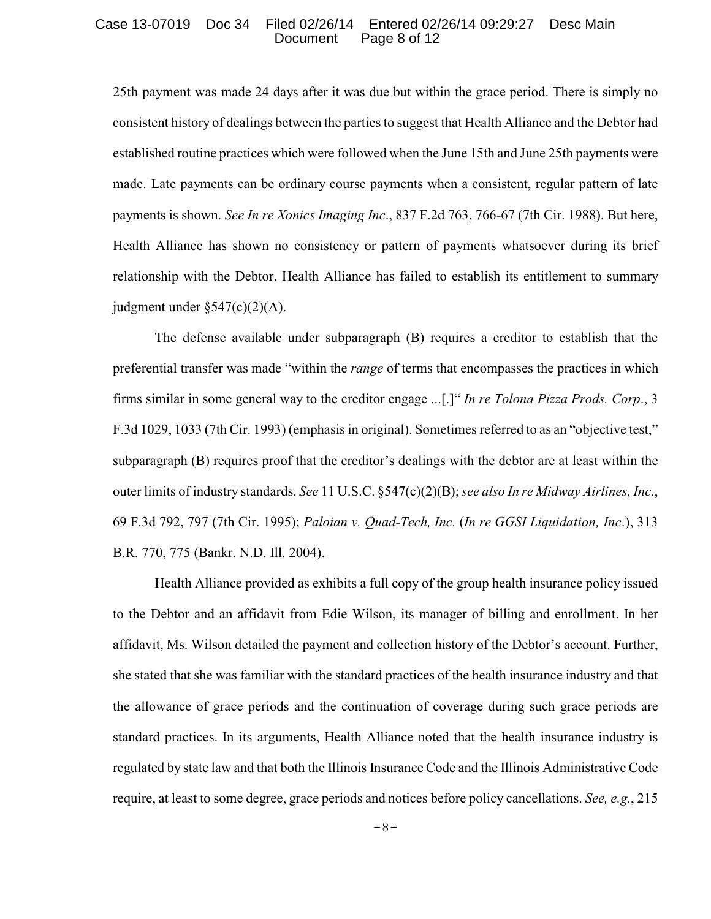#### Case 13-07019 Doc 34 Filed 02/26/14 Entered 02/26/14 09:29:27 Desc Main Page 8 of 12

25th payment was made 24 days after it was due but within the grace period. There is simply no consistent history of dealings between the parties to suggest that Health Alliance and the Debtor had established routine practices which were followed when the June 15th and June 25th payments were made. Late payments can be ordinary course payments when a consistent, regular pattern of late payments is shown. *See In re Xonics Imaging Inc*., 837 F.2d 763, 766-67 (7th Cir. 1988). But here, Health Alliance has shown no consistency or pattern of payments whatsoever during its brief relationship with the Debtor. Health Alliance has failed to establish its entitlement to summary judgment under  $\S 547(c)(2)(A)$ .

The defense available under subparagraph (B) requires a creditor to establish that the preferential transfer was made "within the *range* of terms that encompasses the practices in which firms similar in some general way to the creditor engage ...[.]" *In re Tolona Pizza Prods. Corp*., 3 F.3d 1029, 1033 (7th Cir. 1993) (emphasis in original). Sometimes referred to as an "objective test," subparagraph (B) requires proof that the creditor's dealings with the debtor are at least within the outer limits of industry standards. *See* 11 U.S.C. §547(c)(2)(B); *see also In re Midway Airlines, Inc.*, 69 F.3d 792, 797 (7th Cir. 1995); *Paloian v. Quad-Tech, Inc.* (*In re GGSI Liquidation, Inc*.), 313 B.R. 770, 775 (Bankr. N.D. Ill. 2004).

Health Alliance provided as exhibits a full copy of the group health insurance policy issued to the Debtor and an affidavit from Edie Wilson, its manager of billing and enrollment. In her affidavit, Ms. Wilson detailed the payment and collection history of the Debtor's account. Further, she stated that she was familiar with the standard practices of the health insurance industry and that the allowance of grace periods and the continuation of coverage during such grace periods are standard practices. In its arguments, Health Alliance noted that the health insurance industry is regulated by state law and that both the Illinois Insurance Code and the Illinois Administrative Code require, at least to some degree, grace periods and notices before policy cancellations. *See, e.g.*, 215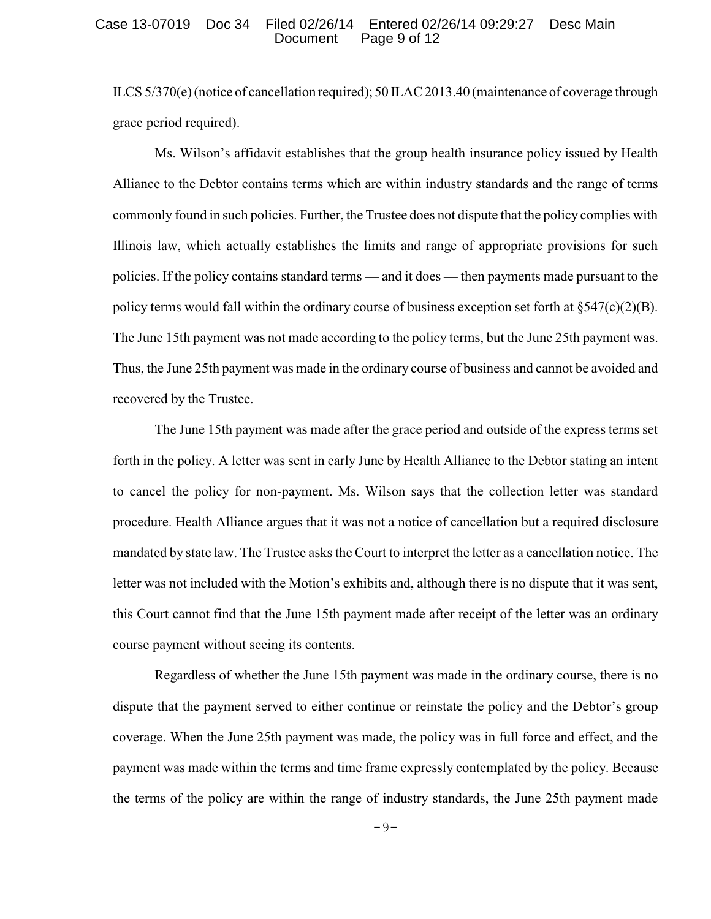#### Case 13-07019 Doc 34 Filed 02/26/14 Entered 02/26/14 09:29:27 Desc Main Page 9 of 12

ILCS 5/370(e) (notice of cancellation required); 50 ILAC 2013.40 (maintenance of coverage through grace period required).

Ms. Wilson's affidavit establishes that the group health insurance policy issued by Health Alliance to the Debtor contains terms which are within industry standards and the range of terms commonly found in such policies. Further, the Trustee does not dispute that the policy complies with Illinois law, which actually establishes the limits and range of appropriate provisions for such policies. If the policy contains standard terms — and it does — then payments made pursuant to the policy terms would fall within the ordinary course of business exception set forth at  $\S 547(c)(2)(B)$ . The June 15th payment was not made according to the policy terms, but the June 25th payment was. Thus, the June 25th payment was made in the ordinary course of business and cannot be avoided and recovered by the Trustee.

The June 15th payment was made after the grace period and outside of the express terms set forth in the policy. A letter was sent in early June by Health Alliance to the Debtor stating an intent to cancel the policy for non-payment. Ms. Wilson says that the collection letter was standard procedure. Health Alliance argues that it was not a notice of cancellation but a required disclosure mandated by state law. The Trustee asks the Court to interpret the letter as a cancellation notice. The letter was not included with the Motion's exhibits and, although there is no dispute that it was sent, this Court cannot find that the June 15th payment made after receipt of the letter was an ordinary course payment without seeing its contents.

Regardless of whether the June 15th payment was made in the ordinary course, there is no dispute that the payment served to either continue or reinstate the policy and the Debtor's group coverage. When the June 25th payment was made, the policy was in full force and effect, and the payment was made within the terms and time frame expressly contemplated by the policy. Because the terms of the policy are within the range of industry standards, the June 25th payment made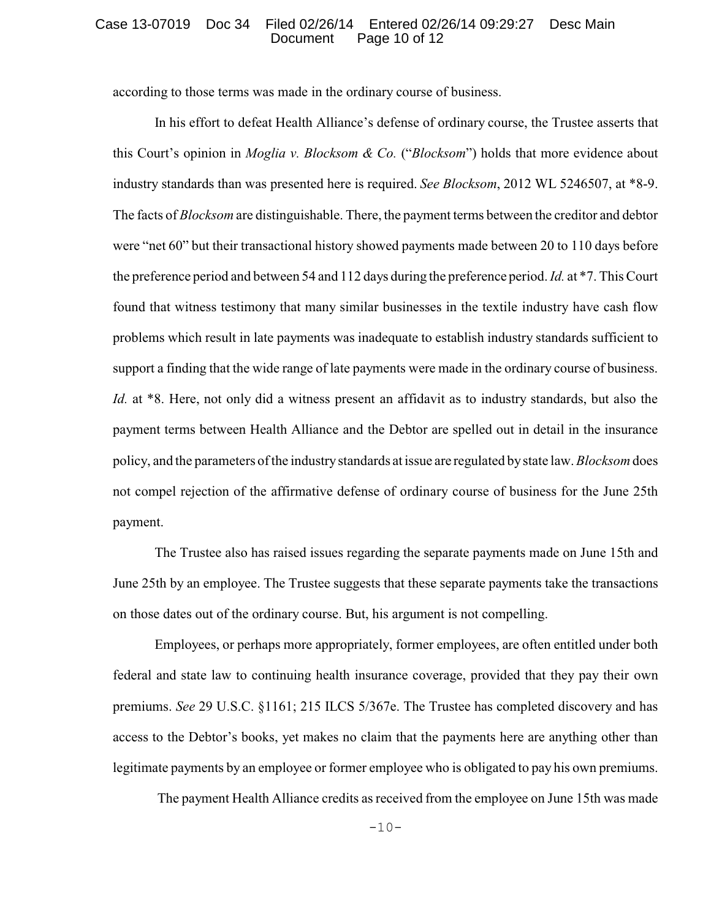#### Case 13-07019 Doc 34 Filed 02/26/14 Entered 02/26/14 09:29:27 Desc Main Page 10 of 12

according to those terms was made in the ordinary course of business.

In his effort to defeat Health Alliance's defense of ordinary course, the Trustee asserts that this Court's opinion in *Moglia v. Blocksom & Co.* ("*Blocksom*") holds that more evidence about industry standards than was presented here is required. *See Blocksom*, 2012 WL 5246507, at \*8-9. The facts of *Blocksom* are distinguishable. There, the payment terms between the creditor and debtor were "net 60" but their transactional history showed payments made between 20 to 110 days before the preference period and between 54 and 112 days during the preference period. *Id.* at \*7. This Court found that witness testimony that many similar businesses in the textile industry have cash flow problems which result in late payments was inadequate to establish industry standards sufficient to support a finding that the wide range of late payments were made in the ordinary course of business. *Id.* at \*8. Here, not only did a witness present an affidavit as to industry standards, but also the payment terms between Health Alliance and the Debtor are spelled out in detail in the insurance policy, and the parameters of the industrystandards at issue are regulated bystate law. *Blocksom* does not compel rejection of the affirmative defense of ordinary course of business for the June 25th payment.

The Trustee also has raised issues regarding the separate payments made on June 15th and June 25th by an employee. The Trustee suggests that these separate payments take the transactions on those dates out of the ordinary course. But, his argument is not compelling.

Employees, or perhaps more appropriately, former employees, are often entitled under both federal and state law to continuing health insurance coverage, provided that they pay their own premiums. *See* 29 U.S.C. §1161; 215 ILCS 5/367e. The Trustee has completed discovery and has access to the Debtor's books, yet makes no claim that the payments here are anything other than legitimate payments by an employee or former employee who is obligated to pay his own premiums.

The payment Health Alliance credits as received from the employee on June 15th was made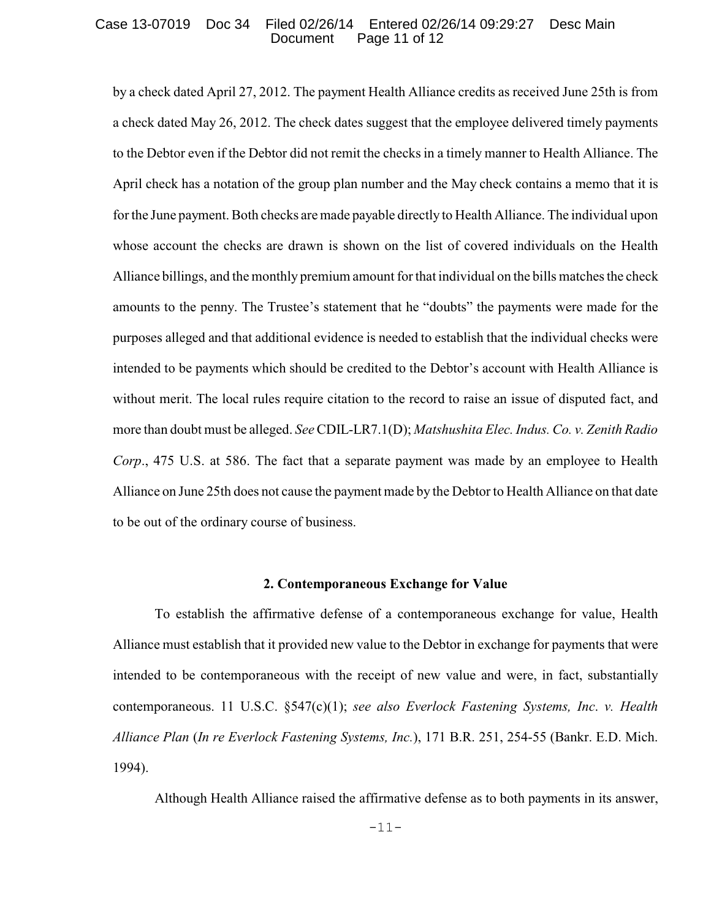#### Case 13-07019 Doc 34 Filed 02/26/14 Entered 02/26/14 09:29:27 Desc Main Page 11 of 12

by a check dated April 27, 2012. The payment Health Alliance credits as received June 25th is from a check dated May 26, 2012. The check dates suggest that the employee delivered timely payments to the Debtor even if the Debtor did not remit the checks in a timely manner to Health Alliance. The April check has a notation of the group plan number and the May check contains a memo that it is for the June payment. Both checks are made payable directly to Health Alliance. The individual upon whose account the checks are drawn is shown on the list of covered individuals on the Health Alliance billings, and the monthly premium amount for that individual on the bills matches the check amounts to the penny. The Trustee's statement that he "doubts" the payments were made for the purposes alleged and that additional evidence is needed to establish that the individual checks were intended to be payments which should be credited to the Debtor's account with Health Alliance is without merit. The local rules require citation to the record to raise an issue of disputed fact, and more than doubt must be alleged. *See* CDIL-LR7.1(D); *Matshushita Elec. Indus. Co. v. Zenith Radio Corp*., 475 U.S. at 586. The fact that a separate payment was made by an employee to Health Alliance on June 25th does not cause the payment made by the Debtor to Health Alliance on that date to be out of the ordinary course of business.

#### **2. Contemporaneous Exchange for Value**

To establish the affirmative defense of a contemporaneous exchange for value, Health Alliance must establish that it provided new value to the Debtor in exchange for payments that were intended to be contemporaneous with the receipt of new value and were, in fact, substantially contemporaneous. 11 U.S.C. §547(c)(1); *see also Everlock Fastening Systems, Inc*. *v. Health Alliance Plan* (*In re Everlock Fastening Systems, Inc.*), 171 B.R. 251, 254-55 (Bankr. E.D. Mich. 1994).

Although Health Alliance raised the affirmative defense as to both payments in its answer,